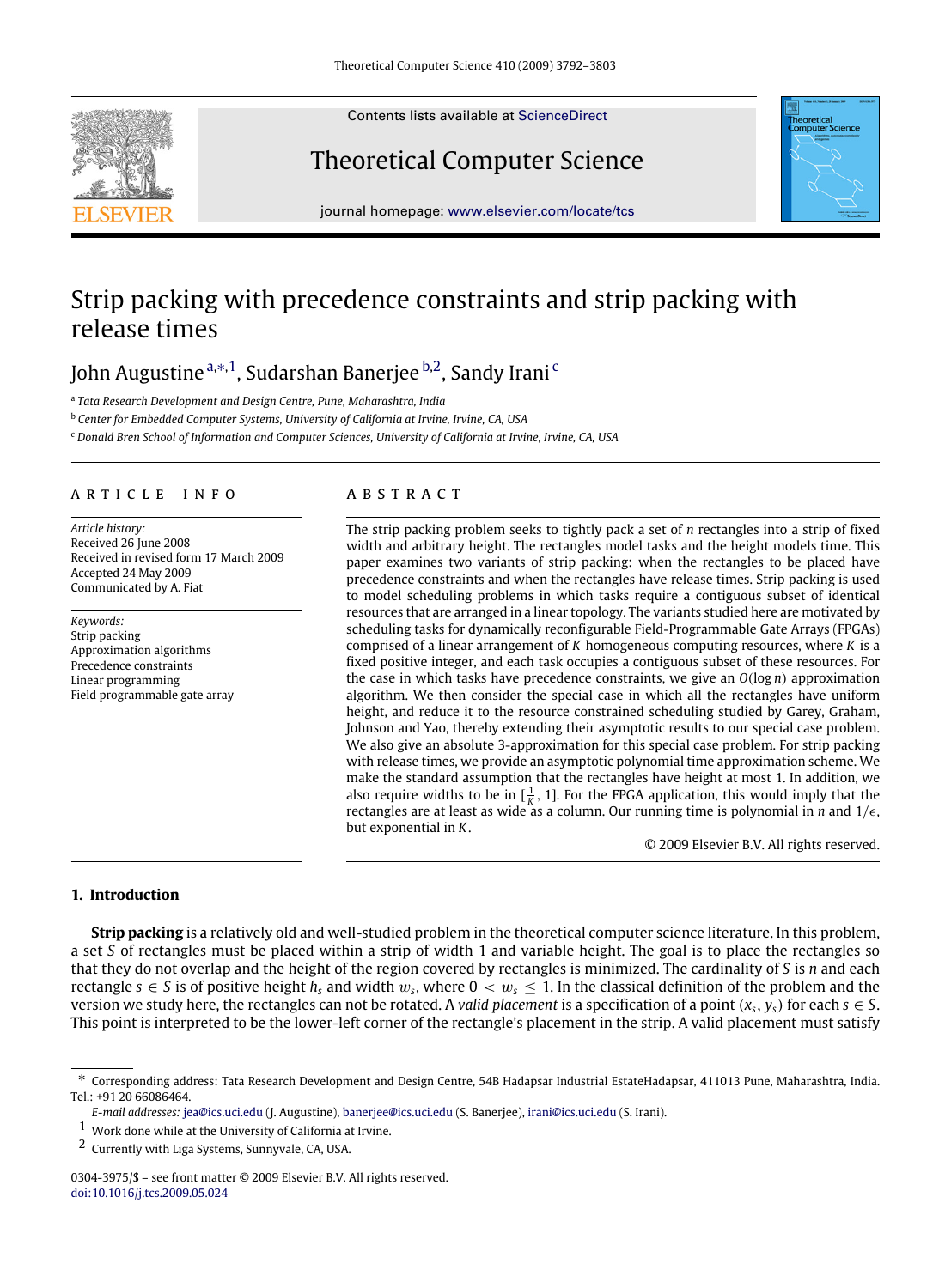Contents lists available at [ScienceDirect](http://www.elsevier.com/locate/tcs)

# Theoretical Computer Science

journal homepage: [www.elsevier.com/locate/tcs](http://www.elsevier.com/locate/tcs)

# Strip packing with precedence constraints and strip packing with release times

# John Augustine <sup>[a,](#page-0-0)[∗](#page-0-1), 1</sup>, Sudarshan Banerjee <sup>[b,](#page-0-3)[2](#page-0-4)</sup>, Sandy Irani <sup>[c](#page-0-5)</sup>

<span id="page-0-0"></span>a *Tata Research Development and Design Centre, Pune, Maharashtra, India*

<span id="page-0-3"></span><sup>b</sup> *Center for Embedded Computer Systems, University of California at Irvine, Irvine, CA, USA*

<span id="page-0-5"></span><sup>c</sup> *Donald Bren School of Information and Computer Sciences, University of California at Irvine, Irvine, CA, USA*

#### a r t i c l e i n f o

*Article history:* Received 26 June 2008 Received in revised form 17 March 2009 Accepted 24 May 2009 Communicated by A. Fiat

*Keywords:* Strip packing Approximation algorithms Precedence constraints Linear programming Field programmable gate array

## a b s t r a c t

The strip packing problem seeks to tightly pack a set of *n* rectangles into a strip of fixed width and arbitrary height. The rectangles model tasks and the height models time. This paper examines two variants of strip packing: when the rectangles to be placed have precedence constraints and when the rectangles have release times. Strip packing is used to model scheduling problems in which tasks require a contiguous subset of identical resources that are arranged in a linear topology. The variants studied here are motivated by scheduling tasks for dynamically reconfigurable Field-Programmable Gate Arrays (FPGAs) comprised of a linear arrangement of *K* homogeneous computing resources, where *K* is a fixed positive integer, and each task occupies a contiguous subset of these resources. For the case in which tasks have precedence constraints, we give an *O*(log *n*) approximation algorithm. We then consider the special case in which all the rectangles have uniform height, and reduce it to the resource constrained scheduling studied by Garey, Graham, Johnson and Yao, thereby extending their asymptotic results to our special case problem. We also give an absolute 3-approximation for this special case problem. For strip packing with release times, we provide an asymptotic polynomial time approximation scheme. We make the standard assumption that the rectangles have height at most 1. In addition, we also require widths to be in  $\left[\frac{1}{K}, 1\right]$ . For the FPGA application, this would imply that the rectangles are at least as wide as a column. Our running time is polynomial in *n* and  $1/\epsilon$ , but exponential in *K*.

© 2009 Elsevier B.V. All rights reserved.

### **1. Introduction**

**Strip packing** is a relatively old and well-studied problem in the theoretical computer science literature. In this problem, a set *S* of rectangles must be placed within a strip of width 1 and variable height. The goal is to place the rectangles so that they do not overlap and the height of the region covered by rectangles is minimized. The cardinality of *S* is *n* and each rectangle  $s \in S$  is of positive height  $h_s$  and width  $w_s$ , where  $0 < w_s \leq 1$ . In the classical definition of the problem and the version we study here, the rectangles can not be rotated. A *valid placement* is a specification of a point  $(x_s, y_s)$  for each  $s \in S$ . This point is interpreted to be the lower-left corner of the rectangle's placement in the strip. A valid placement must satisfy





<span id="page-0-1"></span><sup>∗</sup> Corresponding address: Tata Research Development and Design Centre, 54B Hadapsar Industrial EstateHadapsar, 411013 Pune, Maharashtra, India. Tel.: +91 20 66086464.

*E-mail addresses:* [jea@ics.uci.edu](mailto:jea@ics.uci.edu) (J. Augustine), [banerjee@ics.uci.edu](mailto:banerjee@ics.uci.edu) (S. Banerjee), [irani@ics.uci.edu](mailto:irani@ics.uci.edu) (S. Irani).

<span id="page-0-2"></span> $1$  Work done while at the University of California at Irvine.

<span id="page-0-4"></span><sup>2</sup> Currently with Liga Systems, Sunnyvale, CA, USA.

<sup>0304-3975/\$ –</sup> see front matter © 2009 Elsevier B.V. All rights reserved. [doi:10.1016/j.tcs.2009.05.024](http://dx.doi.org/10.1016/j.tcs.2009.05.024)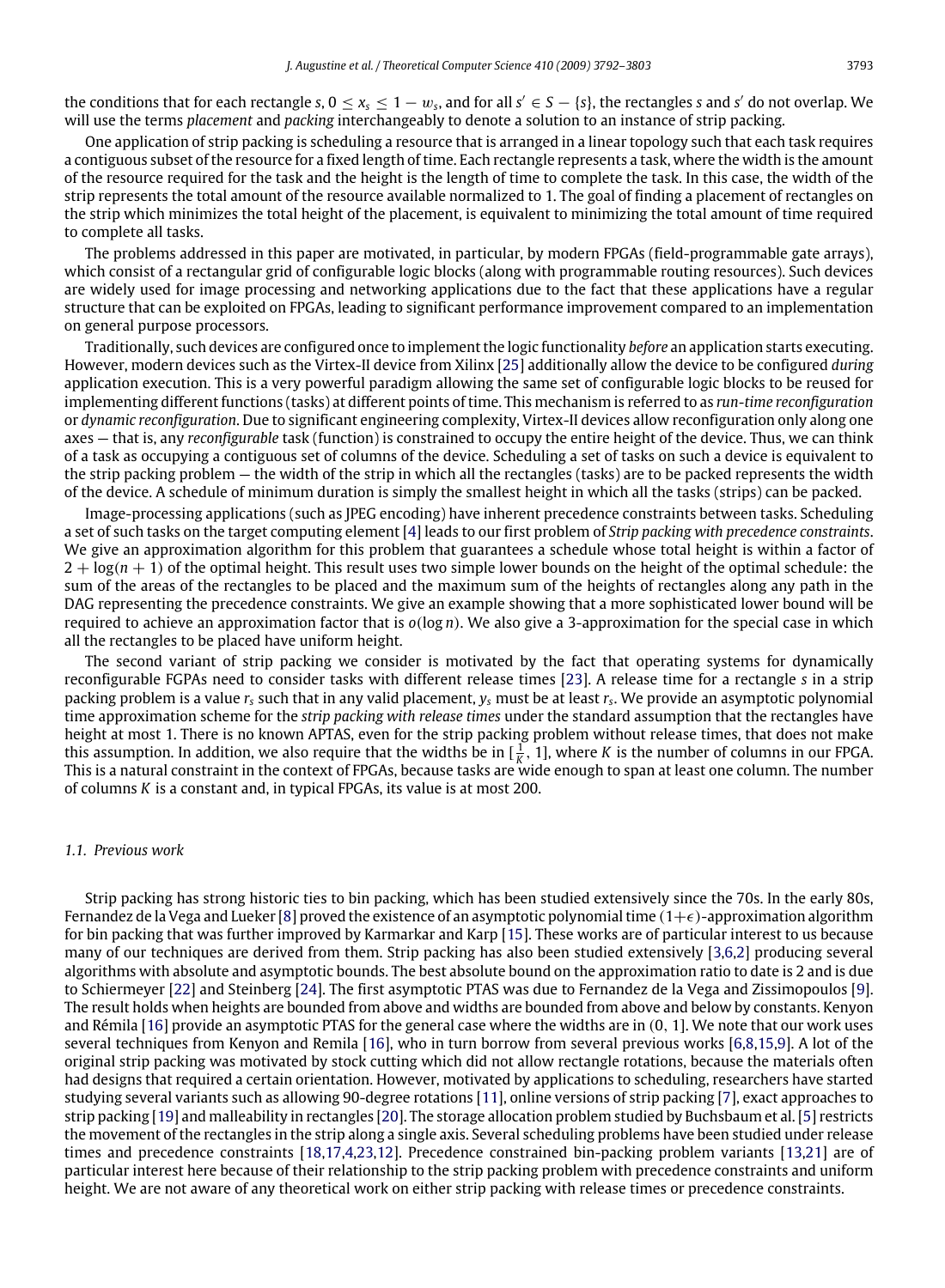the conditions that for each rectangle  $s, 0 \le x_s \le 1-w_s$ , and for all  $s' \in S - \{s\}$ , the rectangles  $s$  and  $s'$  do not overlap. We will use the terms *placement* and *packing* interchangeably to denote a solution to an instance of strip packing.

One application of strip packing is scheduling a resource that is arranged in a linear topology such that each task requires a contiguous subset of the resource for a fixed length of time. Each rectangle represents a task, where the width is the amount of the resource required for the task and the height is the length of time to complete the task. In this case, the width of the strip represents the total amount of the resource available normalized to 1. The goal of finding a placement of rectangles on the strip which minimizes the total height of the placement, is equivalent to minimizing the total amount of time required to complete all tasks.

The problems addressed in this paper are motivated, in particular, by modern FPGAs (field-programmable gate arrays), which consist of a rectangular grid of configurable logic blocks (along with programmable routing resources). Such devices are widely used for image processing and networking applications due to the fact that these applications have a regular structure that can be exploited on FPGAs, leading to significant performance improvement compared to an implementation on general purpose processors.

Traditionally, such devices are configured once to implement the logic functionality *before* an application starts executing. However, modern devices such as the Virtex-II device from Xilinx [\[25\]](#page-11-0) additionally allow the device to be configured *during* application execution. This is a very powerful paradigm allowing the same set of configurable logic blocks to be reused for implementing different functions (tasks) at different points of time. This mechanism is referred to as *run-time reconfiguration* or *dynamic reconfiguration*. Due to significant engineering complexity, Virtex-II devices allow reconfiguration only along one axes — that is, any *reconfigurable* task (function) is constrained to occupy the entire height of the device. Thus, we can think of a task as occupying a contiguous set of columns of the device. Scheduling a set of tasks on such a device is equivalent to the strip packing problem — the width of the strip in which all the rectangles (tasks) are to be packed represents the width of the device. A schedule of minimum duration is simply the smallest height in which all the tasks (strips) can be packed.

Image-processing applications (such as JPEG encoding) have inherent precedence constraints between tasks. Scheduling a set of such tasks on the target computing element [\[4\]](#page-11-1) leads to our first problem of *Strip packing with precedence constraints*. We give an approximation algorithm for this problem that guarantees a schedule whose total height is within a factor of  $2 + log(n + 1)$  of the optimal height. This result uses two simple lower bounds on the height of the optimal schedule: the sum of the areas of the rectangles to be placed and the maximum sum of the heights of rectangles along any path in the DAG representing the precedence constraints. We give an example showing that a more sophisticated lower bound will be required to achieve an approximation factor that is *o*(log *n*). We also give a 3-approximation for the special case in which all the rectangles to be placed have uniform height.

The second variant of strip packing we consider is motivated by the fact that operating systems for dynamically reconfigurable FGPAs need to consider tasks with different release times [\[23\]](#page-11-2). A release time for a rectangle *s* in a strip packing problem is a value *r<sup>s</sup>* such that in any valid placement, *y<sup>s</sup>* must be at least *r<sup>s</sup>* . We provide an asymptotic polynomial time approximation scheme for the *strip packing with release times* under the standard assumption that the rectangles have height at most 1. There is no known APTAS, even for the strip packing problem without release times, that does not make this assumption. In addition, we also require that the widths be in  $[\frac{1}{K}, 1]$ , where *K* is the number of columns in our FPGA. This is a natural constraint in the context of FPGAs, because tasks are wide enough to span at least one column. The number of columns *K* is a constant and, in typical FPGAs, its value is at most 200.

#### *1.1. Previous work*

Strip packing has strong historic ties to bin packing, which has been studied extensively since the 70s. In the early 80s, Fernandez de la Vega and Lueker [\[8\]](#page-11-3) proved the existence of an asymptotic polynomial time  $(1+\epsilon)$ -approximation algorithm for bin packing that was further improved by Karmarkar and Karp [\[15\]](#page-11-4). These works are of particular interest to us because many of our techniques are derived from them. Strip packing has also been studied extensively [\[3,](#page-11-5)[6,](#page-11-6)[2\]](#page-11-7) producing several algorithms with absolute and asymptotic bounds. The best absolute bound on the approximation ratio to date is 2 and is due to Schiermeyer [\[22\]](#page-11-8) and Steinberg [\[24\]](#page-11-9). The first asymptotic PTAS was due to Fernandez de la Vega and Zissimopoulos [\[9\]](#page-11-10). The result holds when heights are bounded from above and widths are bounded from above and below by constants. Kenyon and Rémila [\[16\]](#page-11-11) provide an asymptotic PTAS for the general case where the widths are in (0, 1]. We note that our work uses several techniques from Kenyon and Remila [\[16\]](#page-11-11), who in turn borrow from several previous works [\[6,](#page-11-6)[8,](#page-11-3)[15](#page-11-4)[,9\]](#page-11-10). A lot of the original strip packing was motivated by stock cutting which did not allow rectangle rotations, because the materials often had designs that required a certain orientation. However, motivated by applications to scheduling, researchers have started studying several variants such as allowing 90-degree rotations [\[11\]](#page-11-12), online versions of strip packing [\[7\]](#page-11-13), exact approaches to strip packing [\[19\]](#page-11-14) and malleability in rectangles [\[20\]](#page-11-15). The storage allocation problem studied by Buchsbaum et al. [\[5\]](#page-11-16) restricts the movement of the rectangles in the strip along a single axis. Several scheduling problems have been studied under release times and precedence constraints [\[18](#page-11-17)[,17,](#page-11-18)[4,](#page-11-1)[23](#page-11-2)[,12\]](#page-11-19). Precedence constrained bin-packing problem variants [\[13](#page-11-20)[,21\]](#page-11-21) are of particular interest here because of their relationship to the strip packing problem with precedence constraints and uniform height. We are not aware of any theoretical work on either strip packing with release times or precedence constraints.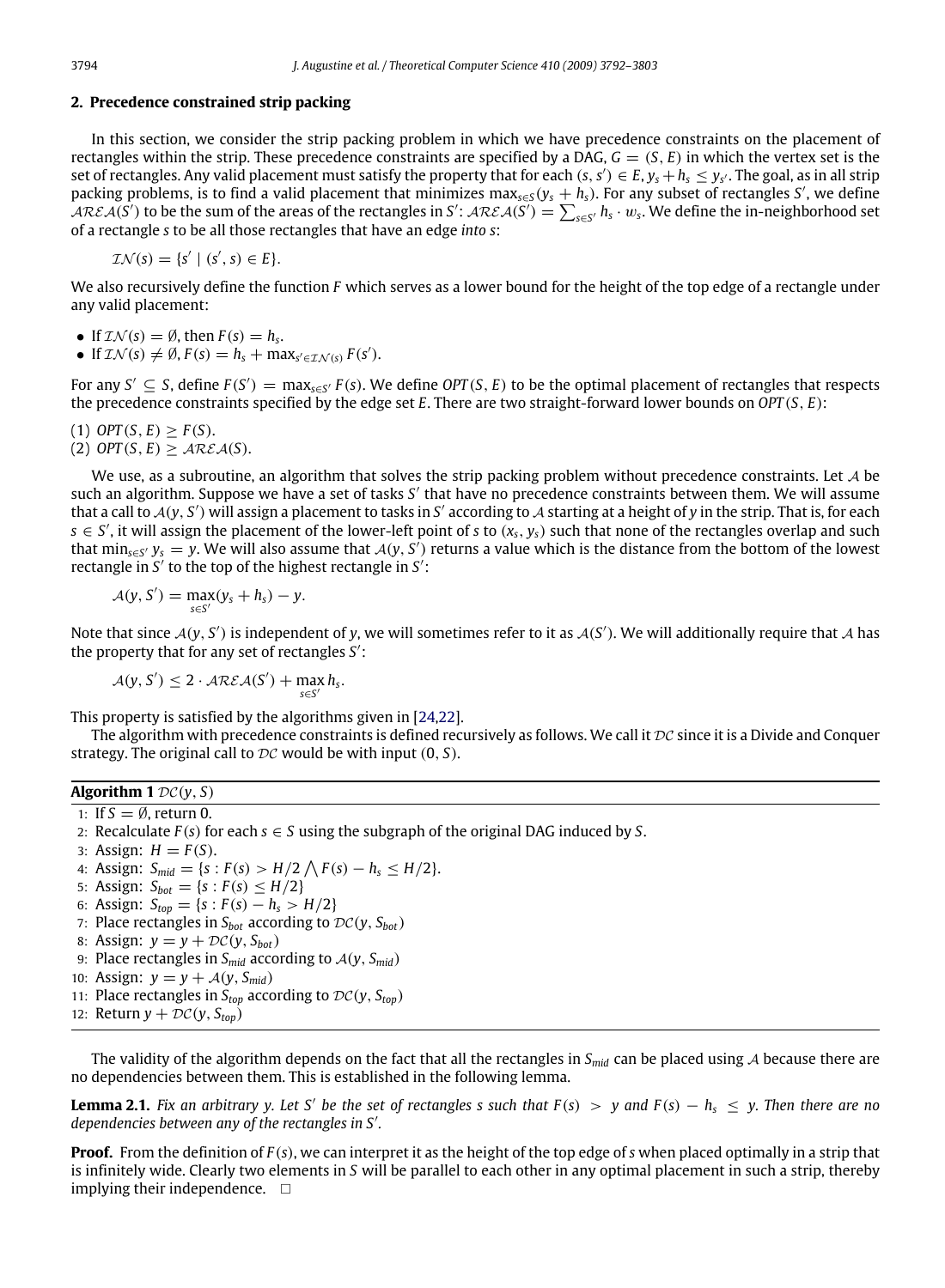#### **2. Precedence constrained strip packing**

In this section, we consider the strip packing problem in which we have precedence constraints on the placement of rectangles within the strip. These precedence constraints are specified by a DAG,  $G = (S, E)$  in which the vertex set is the set of rectangles. Any valid placement must satisfy the property that for each  $(s, s') \in E$ ,  $y_s + h_s \leq y_{s'}$ . The goal, as in all strip packing problems, is to find a valid placement that minimizes max*s*∈*<sup>S</sup>* (*y<sup>s</sup>* + *hs*). For any subset of rectangles *S* ′ , we define  $\mathcal{AREA}(S')$  to be the sum of the areas of the rectangles in  $S'$ :  $\mathcal{AREA}(S') = \sum_{s \in S'} h_s \cdot w_s$ . We define the in-neighborhood set of a rectangle *s* to be all those rectangles that have an edge *into s*:

 $\mathcal{IN}(s) = \{s' \mid (s', s) \in E\}.$ 

We also recursively define the function *F* which serves as a lower bound for the height of the top edge of a rectangle under any valid placement:

- If  $\mathcal{I}\mathcal{N}(s) = \emptyset$ , then  $F(s) = h_s$ .
- If  $\mathcal{IN}(s) \neq \emptyset$ ,  $F(s) = h_s + \max_{s' \in \mathcal{IN}(s)} F(s')$ .

For any  $S' \subseteq S$ , define  $F(S') = \max_{s \in S'} F(s)$ . We define OPT(S, E) to be the optimal placement of rectangles that respects the precedence constraints specified by the edge set *E*. There are two straight-forward lower bounds on *OPT* (*S*, *E*):

(1) 
$$
OPT(S, E) \geq F(S)
$$
.

 $(2)$  *OPT* $(S, E) > \text{AREA}(S)$ .

We use, as a subroutine, an algorithm that solves the strip packing problem without precedence constraints. Let  $\cal A$  be such an algorithm. Suppose we have a set of tasks S' that have no precedence constraints between them. We will assume that a call to  $A(y, S')$  will assign a placement to tasks in S' according to A starting at a height of y in the strip. That is, for each *s* ∈ *S* ′ , it will assign the placement of the lower-left point of *s* to (*xs*, *ys*) such that none of the rectangles overlap and such that min<sub>s∈S'</sub>  $y_s = y$ . We will also assume that  $A(y, S')$  returns a value which is the distance from the bottom of the lowest rectangle in *S'* to the top of the highest rectangle in *S'*:

$$
\mathcal{A}(y, S') = \max_{s \in S'} (y_s + h_s) - y.
$$

Note that since  $A(y, S')$  is independent of y, we will sometimes refer to it as  $A(S')$ . We will additionally require that A has the property that for any set of rectangles *S* ′ :

$$
\mathcal{A}(y,S') \leq 2 \cdot \mathcal{AREA}(S') + \max_{s \in S'} h_s.
$$

This property is satisfied by the algorithms given in [\[24,](#page-11-9)[22\]](#page-11-8).

The algorithm with precedence constraints is defined recursively as follows. We call it  $DC$  since it is a Divide and Conquer strategy. The original call to  $DC$  would be with input  $(0, S)$ .

### **Algorithm 1**  $DC(y, S)$

1: If  $S = \emptyset$ , return 0. 2: Recalculate  $F(s)$  for each  $s \in S$  using the subgraph of the original DAG induced by S. 3: Assign:  $H = F(S)$ . 4: Assign:  $S_{mid} = \{s : F(s) > H/2 \bigwedge F(s) - h_s \leq H/2\}.$ 5: Assign:  $S_{bot} = \{s : F(s) \leq H/2\}$ 6: Assign:  $S_{top} = \{s : F(s) - h_s > H/2\}$ 7: Place rectangles in  $S_{bot}$  according to  $DC(y, S_{bot})$ 8: Assign:  $y = y + \mathcal{DC}(y, S_{bot})$ 9: Place rectangles in *Smid* according to A(*y*, *Smid*) 10: Assign:  $y = y + A(y, S<sub>mid</sub>)$ 11: Place rectangles in  $S_{top}$  according to  $DC(y, S_{top})$ 12: Return  $y + \mathcal{DC}(y, S_{top})$ 

The validity of the algorithm depends on the fact that all the rectangles in *Smid* can be placed using A because there are no dependencies between them. This is established in the following lemma.

**Lemma 2.1.** Fix an arbitrary y. Let S' be the set of rectangles s such that  $F(s) > y$  and  $F(s) - h_s \leq y$ . Then there are no *dependencies between any of the rectangles in S*′ *.*

**Proof.** From the definition of *F* (*s*), we can interpret it as the height of the top edge of *s* when placed optimally in a strip that is infinitely wide. Clearly two elements in *S* will be parallel to each other in any optimal placement in such a strip, thereby implying their independence.  $\square$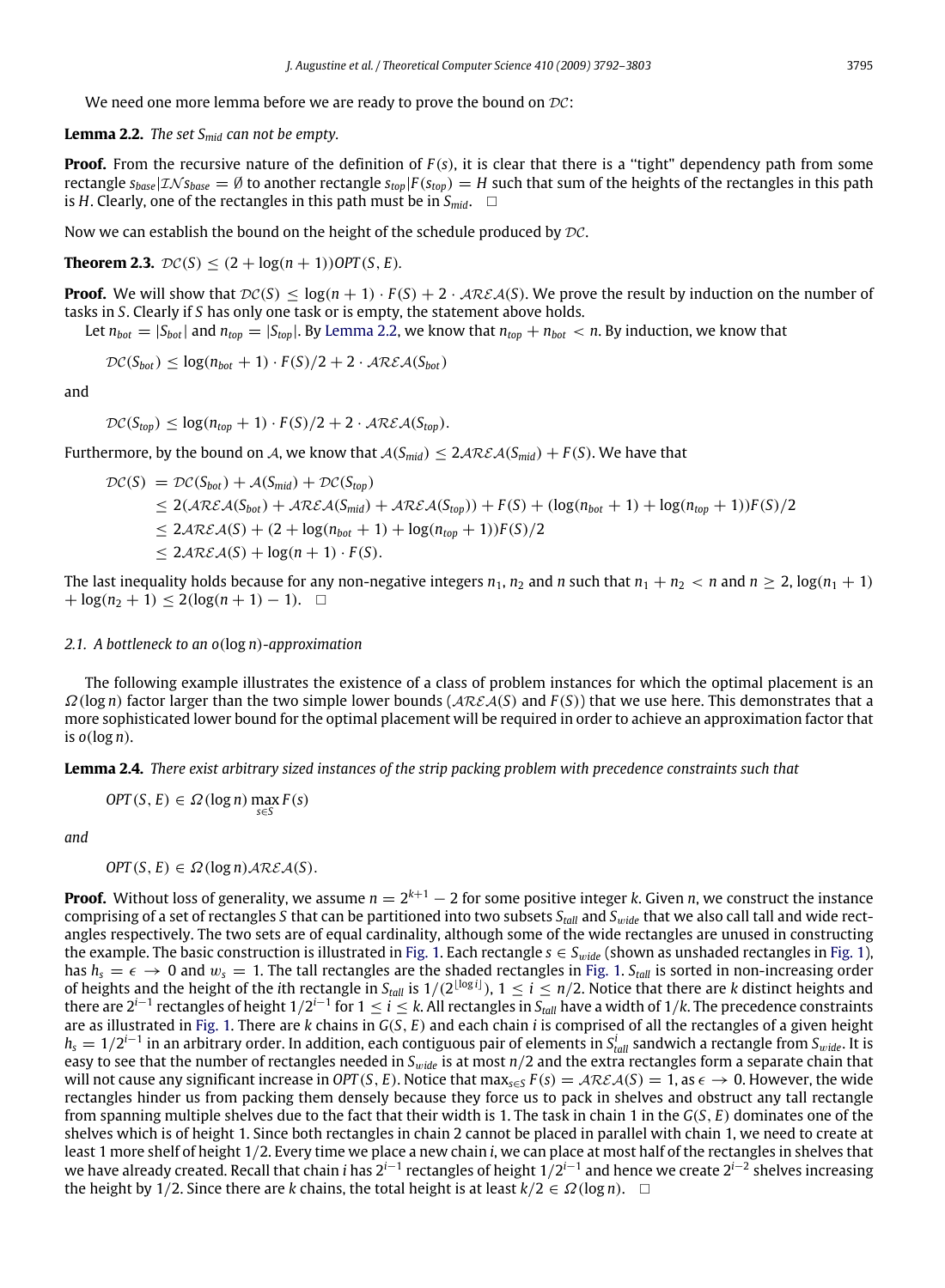We need one more lemma before we are ready to prove the bound on  $DC$ :

<span id="page-3-0"></span>**Lemma 2.2.** *The set Smid can not be empty.*

**Proof.** From the recursive nature of the definition of  $F(s)$ , it is clear that there is a "tight" dependency path from some rectangle  $s_{base}$   $\vert \mathcal{I} \mathcal{N} s_{base} = \emptyset$  to another rectangle  $s_{top}$   $\vert F(s_{top}) = H$  such that sum of the heights of the rectangles in this path is *H*. Clearly, one of the rectangles in this path must be in  $S_{mid}$ .  $\square$ 

Now we can establish the bound on the height of the schedule produced by  $\mathcal{DC}$ .

**Theorem 2.3.**  $DC(S) < (2 + log(n + 1))OPT(S, E)$ .

**Proof.** We will show that  $DC(S) \le log(n + 1) \cdot F(S) + 2 \cdot \text{AREA}(S)$ . We prove the result by induction on the number of tasks in *S*. Clearly if *S* has only one task or is empty, the statement above holds.

Let  $n_{bot} = |S_{bot}|$  and  $n_{top} = |S_{top}|$ . By [Lemma 2.2,](#page-3-0) we know that  $n_{top} + n_{bot} < n$ . By induction, we know that

$$
\mathcal{DC}(S_{bot}) \leq log(n_{bot} + 1) \cdot F(S)/2 + 2 \cdot \mathcal{AREA}(S_{bot})
$$

and

 $\mathcal{DC}(S_{top}) \leq \log(n_{top} + 1) \cdot F(S)/2 + 2 \cdot \mathcal{AREA}(S_{top}).$ 

Furthermore, by the bound on A, we know that  $A(S_{mid}) \leq 2A\mathcal{R}\mathcal{E}A(S_{mid}) + F(S)$ . We have that

$$
\begin{aligned} \mathcal{DC}(S) &= \mathcal{DC}(S_{bot}) + \mathcal{A}(S_{mid}) + \mathcal{DC}(S_{top}) \\ &\le 2(\mathcal{AREA}(S_{bot}) + \mathcal{AREA}(S_{mid}) + \mathcal{AREA}(S_{top})) + F(S) + (\log(n_{bot} + 1) + \log(n_{top} + 1))F(S)/2 \\ &\le 2\mathcal{AREA}(S) + (2 + \log(n_{bot} + 1) + \log(n_{top} + 1))F(S)/2 \\ &\le 2\mathcal{AREA}(S) + \log(n + 1) \cdot F(S). \end{aligned}
$$

The last inequality holds because for any non-negative integers  $n_1$ ,  $n_2$  and  $n$  such that  $n_1 + n_2 < n$  and  $n \ge 2$ ,  $\log(n_1 + 1)$  $+ \log(n_2 + 1) \leq 2(\log(n + 1) - 1).$ 

#### *2.1. A bottleneck to an o*(log *n*)*-approximation*

The following example illustrates the existence of a class of problem instances for which the optimal placement is an Ω(log *n*) factor larger than the two simple lower bounds (ARE A(*S*) and *F* (*S*)) that we use here. This demonstrates that a more sophisticated lower bound for the optimal placement will be required in order to achieve an approximation factor that is *o*(log *n*).

<span id="page-3-1"></span>**Lemma 2.4.** *There exist arbitrary sized instances of the strip packing problem with precedence constraints such that*

$$
OPT(S, E) \in \Omega(\log n) \max_{s \in S} F(s)
$$

*and*

$$
OPT(S, E) \in \Omega(\log n) \mathcal{AREA}(S).
$$

**Proof.** Without loss of generality, we assume *n* = 2 *<sup>k</sup>*+<sup>1</sup> − 2 for some positive integer *k*. Given *n*, we construct the instance comprising of a set of rectangles *S* that can be partitioned into two subsets *Stall* and *S*w*ide* that we also call tall and wide rectangles respectively. The two sets are of equal cardinality, although some of the wide rectangles are unused in constructing the example. The basic construction is illustrated in [Fig. 1.](#page-4-0) Each rectangle  $s \in S_{wide}$  (shown as unshaded rectangles in [Fig. 1\)](#page-4-0), has  $h_s = \epsilon \to 0$  and  $w_s = 1$ . The tall rectangles are the shaded rectangles in [Fig. 1.](#page-4-0) *S*<sub>tall</sub> is sorted in non-increasing order of heights and the height of the *i*th rectangle in S<sub>tall</sub> is  $1/(2^{\lfloor \log i \rfloor})$ ,  $1 \le i \le n/2$ . Notice that there are *k* distinct heights and there are 2*<sup>i</sup>*−<sup>1</sup> rectangles of height 1/2 *i*−1 for 1 ≤ *i* ≤ *k*. All rectangles in *Stall* have a width of 1/*k*. The precedence constraints are as illustrated in [Fig. 1.](#page-4-0) There are *k* chains in *G*(*S*, *E*) and each chain *i* is comprised of all the rectangles of a given height *h<sup>s</sup>* = 1/2 *i*−1 in an arbitrary order. In addition, each contiguous pair of elements in *S i tall* sandwich a rectangle from *S*w*ide*. It is easy to see that the number of rectangles needed in *S*w*ide* is at most *n*/2 and the extra rectangles form a separate chain that will not cause any significant increase in *OPT* (*S*, *E*). Notice that max<sub>*s*∈*S*</sub>  $F(s) = \mathcal{AREA}(S) = 1$ , as  $\epsilon \to 0$ . However, the wide rectangles hinder us from packing them densely because they force us to pack in shelves and obstruct any tall rectangle from spanning multiple shelves due to the fact that their width is 1. The task in chain 1 in the *G*(*S*, *E*) dominates one of the shelves which is of height 1. Since both rectangles in chain 2 cannot be placed in parallel with chain 1, we need to create at least 1 more shelf of height 1/2. Every time we place a new chain *i*, we can place at most half of the rectangles in shelves that we have already created. Recall that chain *i* has 2*<sup>i</sup>*−<sup>1</sup> rectangles of height 1/2 *i*−1 and hence we create 2*<sup>i</sup>*−<sup>2</sup> shelves increasing the height by 1/2. Since there are *k* chains, the total height is at least  $k/2 \in \Omega(\log n)$ .  $\square$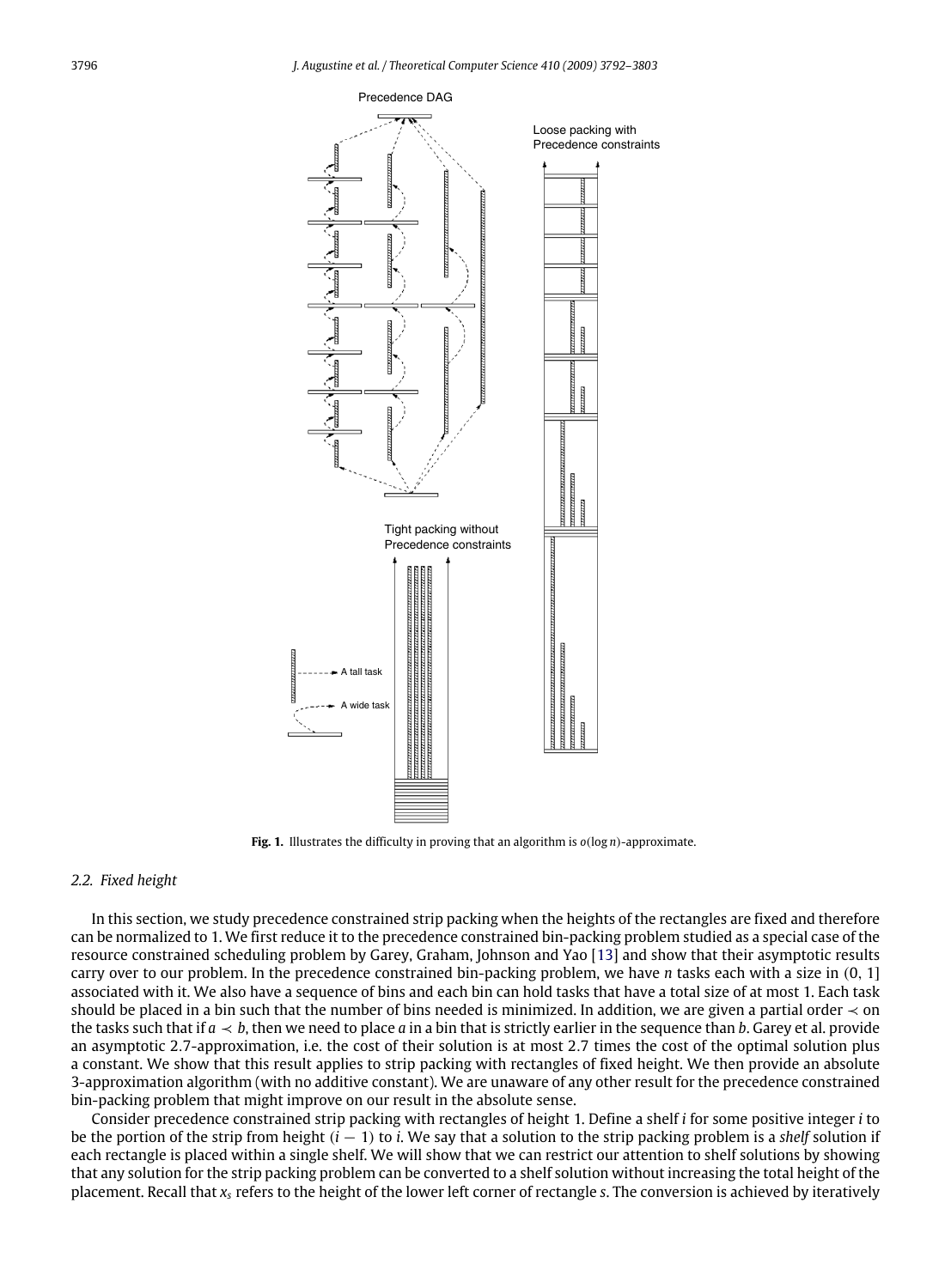

<span id="page-4-0"></span>**Fig. 1.** Illustrates the difficulty in proving that an algorithm is *o*(log *n*)-approximate.

#### *2.2. Fixed height*

In this section, we study precedence constrained strip packing when the heights of the rectangles are fixed and therefore can be normalized to 1. We first reduce it to the precedence constrained bin-packing problem studied as a special case of the resource constrained scheduling problem by Garey, Graham, Johnson and Yao [\[13\]](#page-11-20) and show that their asymptotic results carry over to our problem. In the precedence constrained bin-packing problem, we have *n* tasks each with a size in (0, 1] associated with it. We also have a sequence of bins and each bin can hold tasks that have a total size of at most 1. Each task should be placed in a bin such that the number of bins needed is minimized. In addition, we are given a partial order  $\prec$  on the tasks such that if  $a \lt b$ , then we need to place *a* in a bin that is strictly earlier in the sequence than *b*. Garey et al. provide an asymptotic 2.7-approximation, i.e. the cost of their solution is at most 2.7 times the cost of the optimal solution plus a constant. We show that this result applies to strip packing with rectangles of fixed height. We then provide an absolute 3-approximation algorithm (with no additive constant). We are unaware of any other result for the precedence constrained bin-packing problem that might improve on our result in the absolute sense.

Consider precedence constrained strip packing with rectangles of height 1. Define a shelf *i* for some positive integer *i* to be the portion of the strip from height (*i* − 1) to *i*. We say that a solution to the strip packing problem is a *shelf* solution if each rectangle is placed within a single shelf. We will show that we can restrict our attention to shelf solutions by showing that any solution for the strip packing problem can be converted to a shelf solution without increasing the total height of the placement. Recall that *x<sup>s</sup>* refers to the height of the lower left corner of rectangle *s*. The conversion is achieved by iteratively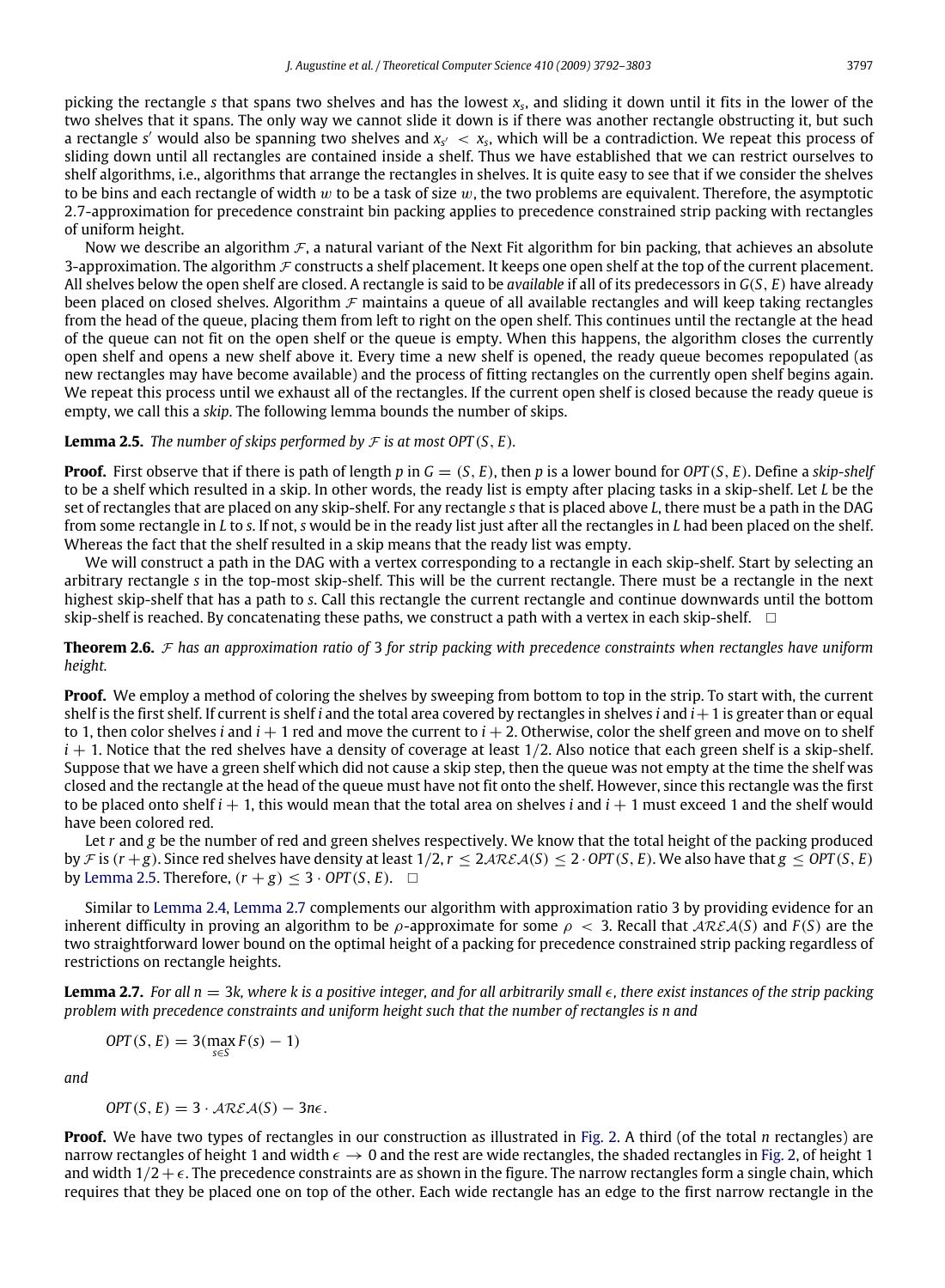picking the rectangle *s* that spans two shelves and has the lowest *x<sup>s</sup>* , and sliding it down until it fits in the lower of the two shelves that it spans. The only way we cannot slide it down is if there was another rectangle obstructing it, but such a rectangle s' would also be spanning two shelves and  $x_{s'}\, <\, x_s$ , which will be a contradiction. We repeat this process of sliding down until all rectangles are contained inside a shelf. Thus we have established that we can restrict ourselves to shelf algorithms, i.e., algorithms that arrange the rectangles in shelves. It is quite easy to see that if we consider the shelves to be bins and each rectangle of width w to be a task of size  $w$ , the two problems are equivalent. Therefore, the asymptotic 2.7-approximation for precedence constraint bin packing applies to precedence constrained strip packing with rectangles of uniform height.

Now we describe an algorithm  $\mathcal F$ , a natural variant of the Next Fit algorithm for bin packing, that achieves an absolute 3-approximation. The algorithm  $\mathcal F$  constructs a shelf placement. It keeps one open shelf at the top of the current placement. All shelves below the open shelf are closed. A rectangle is said to be *available* if all of its predecessors in *G*(*S*, *E*) have already been placed on closed shelves. Algorithm  $\mathcal F$  maintains a queue of all available rectangles and will keep taking rectangles from the head of the queue, placing them from left to right on the open shelf. This continues until the rectangle at the head of the queue can not fit on the open shelf or the queue is empty. When this happens, the algorithm closes the currently open shelf and opens a new shelf above it. Every time a new shelf is opened, the ready queue becomes repopulated (as new rectangles may have become available) and the process of fitting rectangles on the currently open shelf begins again. We repeat this process until we exhaust all of the rectangles. If the current open shelf is closed because the ready queue is empty, we call this a *skip*. The following lemma bounds the number of skips.

#### <span id="page-5-0"></span>**Lemma 2.5.** *The number of skips performed by*  $F$  *is at most OPT* (*S*, *E*).

**Proof.** First observe that if there is path of length *p* in *G* = (*S*, *E*), then *p* is a lower bound for *OPT* (*S*, *E*). Define a *skip-shelf* to be a shelf which resulted in a skip. In other words, the ready list is empty after placing tasks in a skip-shelf. Let *L* be the set of rectangles that are placed on any skip-shelf. For any rectangle *s* that is placed above *L*, there must be a path in the DAG from some rectangle in *L* to *s*. If not, *s* would be in the ready list just after all the rectangles in *L* had been placed on the shelf. Whereas the fact that the shelf resulted in a skip means that the ready list was empty.

We will construct a path in the DAG with a vertex corresponding to a rectangle in each skip-shelf. Start by selecting an arbitrary rectangle *s* in the top-most skip-shelf. This will be the current rectangle. There must be a rectangle in the next highest skip-shelf that has a path to *s*. Call this rectangle the current rectangle and continue downwards until the bottom skip-shelf is reached. By concatenating these paths, we construct a path with a vertex in each skip-shelf.  $\Box$ 

**Theorem 2.6.** F *has an approximation ratio of* 3 *for strip packing with precedence constraints when rectangles have uniform height.*

**Proof.** We employ a method of coloring the shelves by sweeping from bottom to top in the strip. To start with, the current shelf is the first shelf. If current is shelf *i* and the total area covered by rectangles in shelves *i* and *i*+1 is greater than or equal to 1, then color shelves *i* and  $i + 1$  red and move the current to  $i + 2$ . Otherwise, color the shelf green and move on to shelf  $i + 1$ . Notice that the red shelves have a density of coverage at least  $1/2$ . Also notice that each green shelf is a skip-shelf. Suppose that we have a green shelf which did not cause a skip step, then the queue was not empty at the time the shelf was closed and the rectangle at the head of the queue must have not fit onto the shelf. However, since this rectangle was the first to be placed onto shelf  $i + 1$ , this would mean that the total area on shelves  $i$  and  $i + 1$  must exceed 1 and the shelf would have been colored red.

Let *r* and *g* be the number of red and green shelves respectively. We know that the total height of the packing produced by F is  $(r+g)$ . Since red shelves have density at least  $1/2$ ,  $r \leq 2A\mathcal{REA}(S) \leq 2 \cdot OPT(S, E)$ . We also have that  $g \leq OPT(S, E)$ by [Lemma 2.5.](#page-5-0) Therefore,  $(r + g) \leq 3 \cdot OPT(S, E)$ .  $\Box$ 

Similar to [Lemma 2.4,](#page-3-1) [Lemma 2.7](#page-5-1) complements our algorithm with approximation ratio 3 by providing evidence for an inherent difficulty in proving an algorithm to be  $\rho$ -approximate for some  $\rho < 3$ . Recall that  $\mathcal{AREA}(S)$  and  $F(S)$  are the two straightforward lower bound on the optimal height of a packing for precedence constrained strip packing regardless of restrictions on rectangle heights.

<span id="page-5-1"></span>**Lemma 2.7.** For all  $n = 3k$ , where k is a positive integer, and for all arbitrarily small  $\epsilon$ , there exist instances of the strip packing *problem with precedence constraints and uniform height such that the number of rectangles is n and*

$$
OPT(S, E) = 3(\max_{s \in S} F(s) - 1)
$$

*and*

$$
OPT(S, E) = 3 \cdot \mathcal{AREA}(S) - 3n\epsilon.
$$

**Proof.** We have two types of rectangles in our construction as illustrated in [Fig. 2.](#page-6-0) A third (of the total *n* rectangles) are narrow rectangles of height 1 and width  $\epsilon \to 0$  and the rest are wide rectangles, the shaded rectangles in [Fig. 2,](#page-6-0) of height 1 and width  $1/2 + \epsilon$ . The precedence constraints are as shown in the figure. The narrow rectangles form a single chain, which requires that they be placed one on top of the other. Each wide rectangle has an edge to the first narrow rectangle in the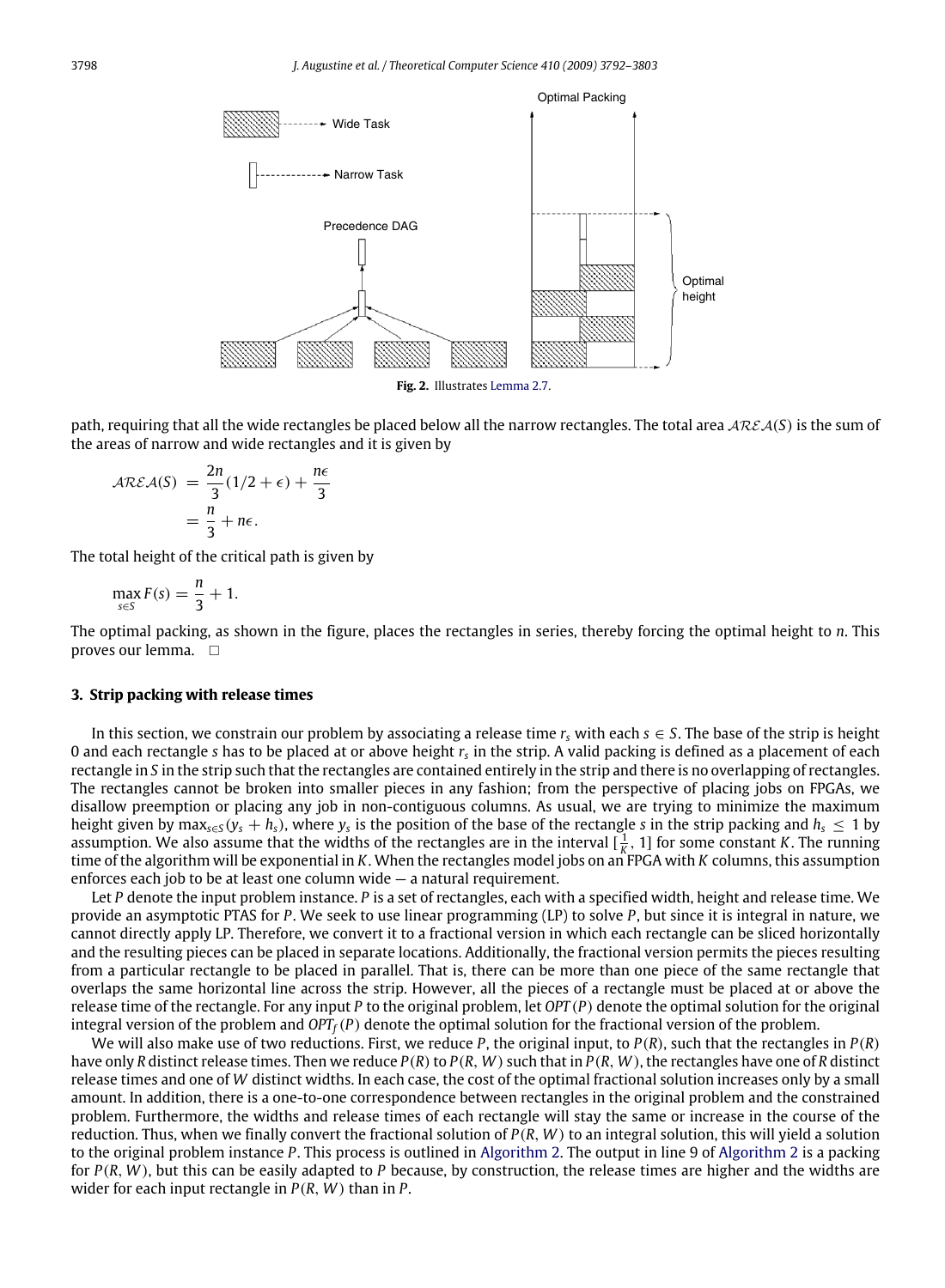<span id="page-6-0"></span>

path, requiring that all the wide rectangles be placed below all the narrow rectangles. The total area ARE A(*S*) is the sum of the areas of narrow and wide rectangles and it is given by

$$
\mathcal{AREA}(S) = \frac{2n}{3}(1/2 + \epsilon) + \frac{n\epsilon}{3}
$$

$$
= \frac{n}{3} + n\epsilon.
$$

The total height of the critical path is given by

$$
\max_{s \in S} F(s) = \frac{n}{3} + 1.
$$

The optimal packing, as shown in the figure, places the rectangles in series, thereby forcing the optimal height to *n*. This proves our lemma.  $\square$ 

#### **3. Strip packing with release times**

In this section, we constrain our problem by associating a release time  $r_s$  with each  $s \in S$ . The base of the strip is height 0 and each rectangle *s* has to be placed at or above height *r<sup>s</sup>* in the strip. A valid packing is defined as a placement of each rectangle in *S* in the strip such that the rectangles are contained entirely in the strip and there is no overlapping of rectangles. The rectangles cannot be broken into smaller pieces in any fashion; from the perspective of placing jobs on FPGAs, we disallow preemption or placing any job in non-contiguous columns. As usual, we are trying to minimize the maximum height given by max<sub>s∈S</sub>(y<sub>s</sub> + *h*<sub>s</sub>), where y<sub>s</sub> is the position of the base of the rectangle *s* in the strip packing and *h*<sub>5</sub> ≤ 1 by assumption. We also assume that the widths of the rectangles are in the interval  $[\frac{1}{K}, 1]$  for some constant *K*. The running time of the algorithm will be exponential in *K*. When the rectangles model jobs on an FPGA with *K* columns, this assumption enforces each job to be at least one column wide — a natural requirement.

Let *P* denote the input problem instance. *P* is a set of rectangles, each with a specified width, height and release time. We provide an asymptotic PTAS for *P*. We seek to use linear programming (LP) to solve *P*, but since it is integral in nature, we cannot directly apply LP. Therefore, we convert it to a fractional version in which each rectangle can be sliced horizontally and the resulting pieces can be placed in separate locations. Additionally, the fractional version permits the pieces resulting from a particular rectangle to be placed in parallel. That is, there can be more than one piece of the same rectangle that overlaps the same horizontal line across the strip. However, all the pieces of a rectangle must be placed at or above the release time of the rectangle. For any input *P* to the original problem, let *OPT* (*P*) denote the optimal solution for the original integral version of the problem and *OPTf*(*P*) denote the optimal solution for the fractional version of the problem.

We will also make use of two reductions. First, we reduce *P*, the original input, to *P*(*R*), such that the rectangles in *P*(*R*) have only *R* distinct release times. Then we reduce  $P(R)$  to  $P(R, W)$  such that in  $P(R, W)$ , the rectangles have one of *R* distinct release times and one of *W* distinct widths. In each case, the cost of the optimal fractional solution increases only by a small amount. In addition, there is a one-to-one correspondence between rectangles in the original problem and the constrained problem. Furthermore, the widths and release times of each rectangle will stay the same or increase in the course of the reduction. Thus, when we finally convert the fractional solution of *P*(*R*, *W*) to an integral solution, this will yield a solution to the original problem instance *P*. This process is outlined in [Algorithm 2.](#page-7-0) The output in line 9 of [Algorithm 2](#page-7-0) is a packing for *P*(*R*, *W*), but this can be easily adapted to *P* because, by construction, the release times are higher and the widths are wider for each input rectangle in *P*(*R*, *W*) than in *P*.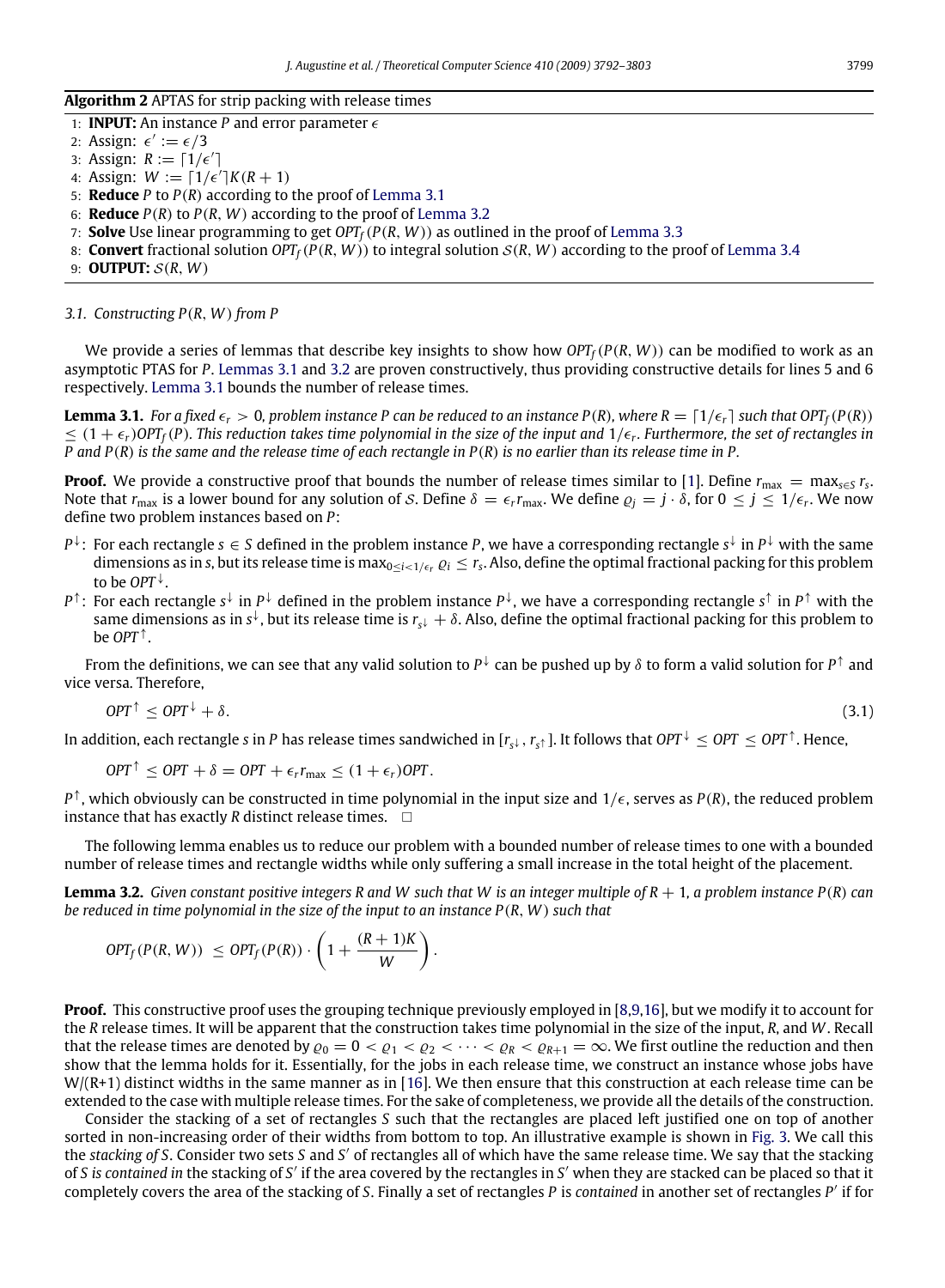#### **Algorithm 2** APTAS for strip packing with release times

<span id="page-7-0"></span>1: **INPUT:** An instance *P* and error parameter  $\epsilon$ 

2: Assign:  $\epsilon' := \epsilon/3$ 

- 3: Assign:  $R := \lceil 1/\epsilon' \rceil$
- 4: Assign:  $W := [1/\epsilon']K(R + 1)$
- 5: **Reduce** *P* to *P*(*R*) according to the proof of [Lemma 3.1](#page-7-1)
- 6: **Reduce** *P*(*R*) to *P*(*R*, *W*) according to the proof of [Lemma 3.2](#page-7-2)
- 7: **Solve** Use linear programming to get *OPTf*(*P*(*R*, *W*)) as outlined in the proof of [Lemma 3.3](#page-10-0)
- 8: **Convert** fractional solution  $OPT_f(P(R, W))$  to integral solution  $S(R, W)$  according to the proof of [Lemma 3.4](#page-10-1)
- 9: **OUTPUT:** S(*R*, *W*)

#### *3.1. Constructing P*(*R*, *W*) *from P*

We provide a series of lemmas that describe key insights to show how  $OPT_f(P(R, W))$  can be modified to work as an asymptotic PTAS for *P*. [Lemmas 3.1](#page-7-1) and [3.2](#page-7-2) are proven constructively, thus providing constructive details for lines 5 and 6 respectively. [Lemma 3.1](#page-7-1) bounds the number of release times.

<span id="page-7-1"></span>**Lemma 3.1.** For a fixed  $\epsilon_r > 0$ , problem instance P can be reduced to an instance  $P(R)$ , where  $R = \frac{1}{\epsilon_r}$  such that OPT<sub>f</sub>( $P(R)$ )  $\leq$   $(1+\epsilon_r)$  *OPT<sub>f</sub>*(*P*). This reduction takes time polynomial in the size of the input and  $1/\epsilon_r$ . Furthermore, the set of rectangles in *P and P*(*R*) *is the same and the release time of each rectangle in P*(*R*) *is no earlier than its release time in P.*

**Proof.** We provide a constructive proof that bounds the number of release times similar to [\[1\]](#page-11-22). Define  $r_{\rm max} = \max_{s \in S} r_s$ . Note that  $r_{\text{max}}$  is a lower bound for any solution of S. Define  $\delta = \epsilon_r r_{\text{max}}$ . We define  $\varrho_j = j \cdot \delta$ , for  $0 \leq j \leq 1/\epsilon_r$ . We now define two problem instances based on *P*:

- *P*<sup>↓</sup>: For each rectangle *s* ∈ *S* defined in the problem instance *P*, we have a corresponding rectangle *s*<sup>↓</sup> in *P*↓ with the same dimensions as in *s*, but its release time is max $_{0\leq i<1/\epsilon_r}\varrho_i\leq r_s.$  Also, define the optimal fractional packing for this problem to be *OPT* <sup>↓</sup> .
- *P*<sup>↑</sup>: For each rectangle *s*<sup>↓</sup> in *P*<sup>↓</sup> defined in the problem instance *P*<sup>↓</sup>, we have a corresponding rectangle *s*<sup>↑</sup> in *P*↑ with the same dimensions as in s<sup>↓</sup>, but its release time is  $r_{s^{\downarrow}}+\delta.$  Also, define the optimal fractional packing for this problem to be *OPT* <sup>↑</sup> .

From the definitions, we can see that any valid solution to  $P^{\downarrow}$  can be pushed up by  $\delta$  to form a valid solution for  $P^{\uparrow}$  and vice versa. Therefore,

$$
OPT^{\uparrow} \le OPT^{\downarrow} + \delta. \tag{3.1}
$$

In addition, each rectangle  $s$  in  $P$  has release times sandwiched in [ $r_s$ , ,  $r_s$ <sub>1</sub>]. It follows that OPT  $^\downarrow\leq$  OPT  $\leq$  OPT  $^\uparrow$ . Hence,

$$
OPT^{\uparrow} \leq OPT + \delta = OPT + \epsilon_r r_{\text{max}} \leq (1 + \epsilon_r) OPT.
$$

*P*<sup>↑</sup>, which obviously can be constructed in time polynomial in the input size and 1/ $\epsilon$ , serves as *P*(*R*), the reduced problem instance that has exactly *R* distinct release times.  $\square$ 

The following lemma enables us to reduce our problem with a bounded number of release times to one with a bounded number of release times and rectangle widths while only suffering a small increase in the total height of the placement.

<span id="page-7-2"></span>**Lemma 3.2.** *Given constant positive integers R and W such that W is an integer multiple of R* + 1*, a problem instance P*(*R*) *can be reduced in time polynomial in the size of the input to an instance P*(*R*, *W*) *such that*

$$
OPT_f(P(R, W)) \leq OPT_f(P(R)) \cdot \left(1 + \frac{(R+1)K}{W}\right).
$$

**Proof.** This constructive proof uses the grouping technique previously employed in [\[8,](#page-11-3)[9,](#page-11-10)[16\]](#page-11-11), but we modify it to account for the *R* release times. It will be apparent that the construction takes time polynomial in the size of the input, *R*, and *W*. Recall that the release times are denoted by  $\varrho_0 = 0 < \varrho_1 < \varrho_2 < \cdots < \varrho_R < \varrho_{R+1} = \infty$ . We first outline the reduction and then show that the lemma holds for it. Essentially, for the jobs in each release time, we construct an instance whose jobs have  $W/(R+1)$  distinct widths in the same manner as in [\[16\]](#page-11-11). We then ensure that this construction at each release time can be extended to the case with multiple release times. For the sake of completeness, we provide all the details of the construction.

Consider the stacking of a set of rectangles *S* such that the rectangles are placed left justified one on top of another sorted in non-increasing order of their widths from bottom to top. An illustrative example is shown in [Fig. 3.](#page-8-0) We call this the *stacking of S*. Consider two sets *S* and *S'* of rectangles all of which have the same release time. We say that the stacking of *S is contained in* the stacking of *S* ′ if the area covered by the rectangles in *S* ′ when they are stacked can be placed so that it completely covers the area of the stacking of *S*. Finally a set of rectangles *P* is *contained* in another set of rectangles *P* ′ if for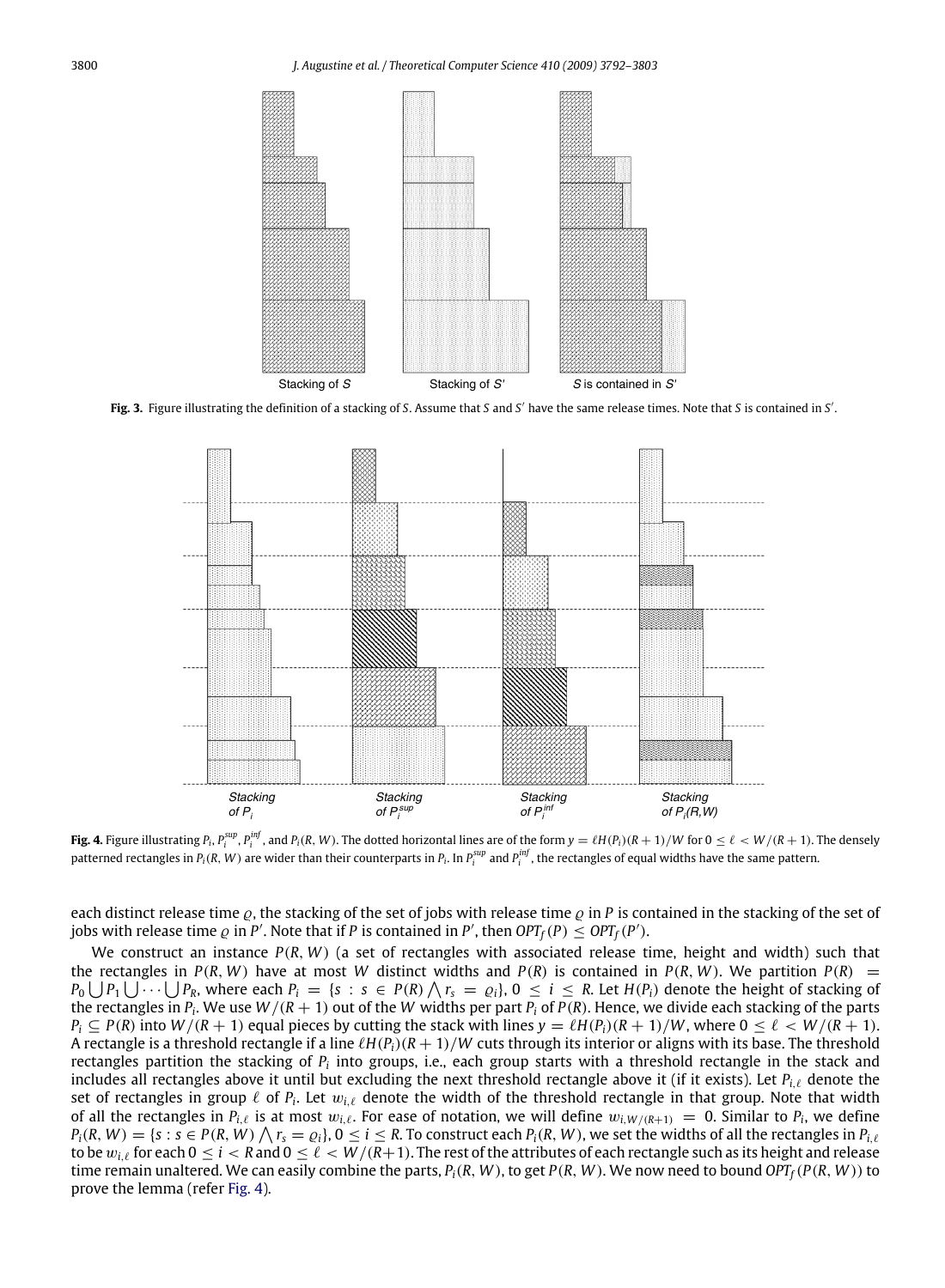

Fig. 3. Figure illustrating the definition of a stacking of *S*. Assume that *S* and *S'* have the same release times. Note that *S* is contained in *S'*.

<span id="page-8-0"></span>

<span id="page-8-1"></span>**Fig. 4.** Figure illustrating  $P_i$ ,  $P_i^{sup}$ ,  $P_i^{inf}$ , and  $P_i(R, W)$ . The dotted horizontal lines are of the form  $y = \ell H(P_i)(R + 1)/W$  for  $0 \le \ell < W/(R + 1)$ . The densely patterned rectangles in  $P_i(R,W)$  are wider than their counterparts in  $P_i$ . In  $P_i^{sup}$  and  $P_i^{inf}$ , the rectangles of equal widths have the same pattern.

each distinct release time  $\rho$ , the stacking of the set of jobs with release time  $\rho$  in P is contained in the stacking of the set of jobs with release time  $\varrho$  in  $P'$ . Note that if  $P$  is contained in  $P'$ , then  $OPT_f(P) \leq OPT_f(P')$ .

We construct an instance *P*(*R*, *W*) (a set of rectangles with associated release time, height and width) such that the rectangles in  $P(R, W)$  have at most W distinct widths and  $P(R)$  is contained in  $P(R, W)$ . We partition  $P(R)$  =  $P_0\bigcup P_1\bigcup\cdots\bigcup P_k,$  where each  $P_i\ =\ \{s\ :\ s\ \in\ P(R)\bigwedge r_s\ =\ \varrho_i\},$   $0\ \leq\ i\ \leq\ R.$  Let  $H(P_i)$  denote the height of stacking of the rectangles in  $P_i$ . We use  $W/(R+1)$  out of the W widths per part  $P_i$  of  $P(R)$ . Hence, we divide each stacking of the parts  $P_i \subseteq P(R)$  into  $W/(R+1)$  equal pieces by cutting the stack with lines  $y = \ell H(P_i)(R+1)/W$ , where  $0 \leq \ell \leq W/(R+1)$ . A rectangle is a threshold rectangle if a line  $\ell H(P_i)(R+1)/W$  cuts through its interior or aligns with its base. The threshold rectangles partition the stacking of  $P_i$  into groups, i.e., each group starts with a threshold rectangle in the stack and includes all rectangles above it until but excluding the next threshold rectangle above it (if it exists). Let *Pi*,ℓ denote the set of rectangles in group  $\ell$  of  $P_i$ . Let  $w_{i,\ell}$  denote the width of the threshold rectangle in that group. Note that width of all the rectangles in  $P_{i,\ell}$  is at most  $w_{i,\ell}$ . For ease of notation, we will define  $w_{i,W/(R+1)} = 0$ . Similar to  $P_i$ , we define  $P_i(R, W) = \{s : s \in P(R, W) \bigwedge r_s = \varrho_i\}, 0 \le i \le R$ . To construct each  $P_i(R, W)$ , we set the widths of all the rectangles in  $P_{i,\ell}$ to be  $w_{i,\ell}$  for each  $0 \le i < R$  and  $0 \le \ell < W/(R+1)$ . The rest of the attributes of each rectangle such as its height and release time remain unaltered. We can easily combine the parts,  $P_i(R, W)$ , to get  $P(R, W)$ . We now need to bound  $OPT_f(P(R, W))$  to prove the lemma (refer [Fig. 4\)](#page-8-1).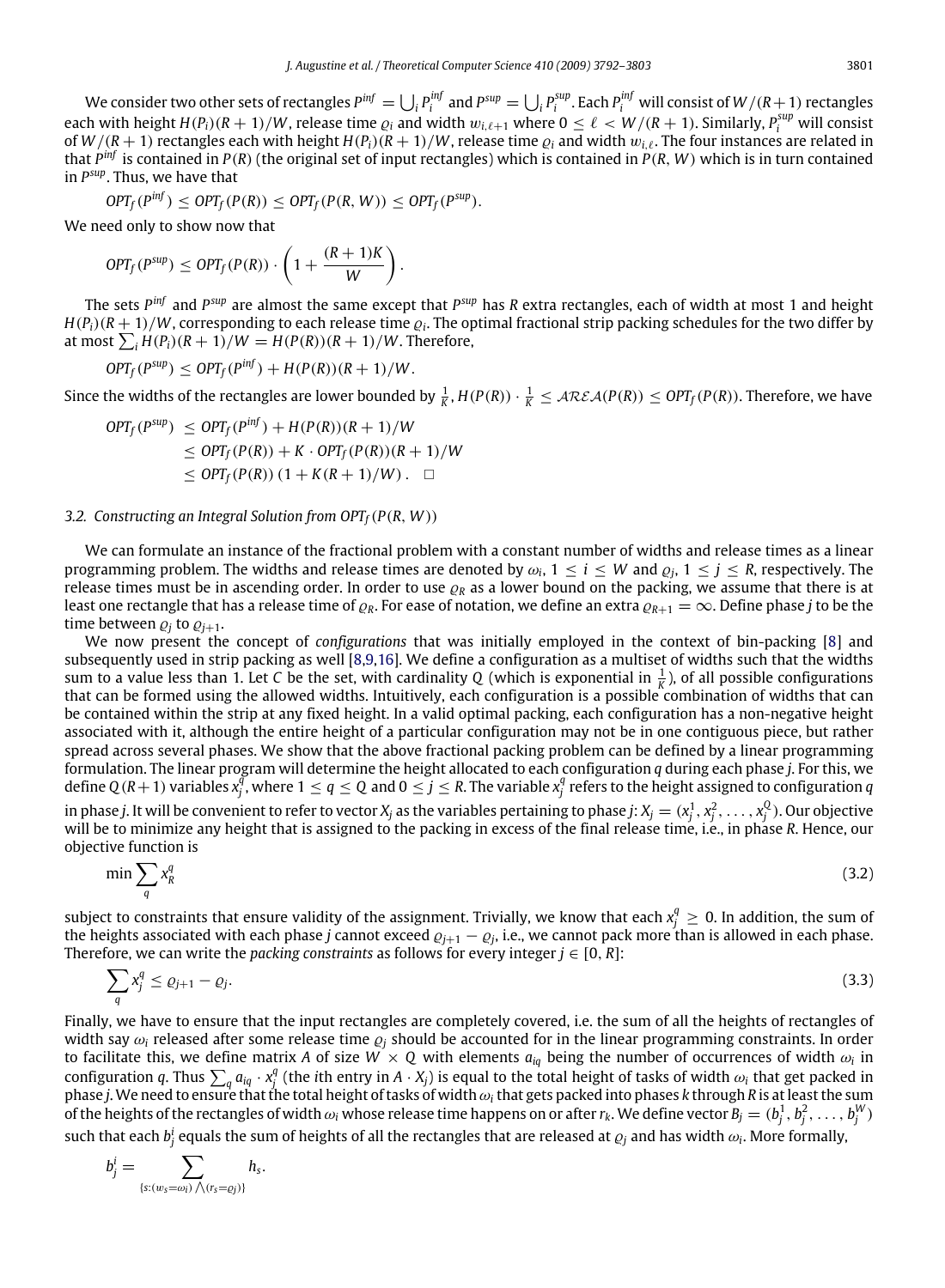We consider two other sets of rectangles  $P^{inf}=\bigcup_i P^{inf}_i$  and  $P^{sup}=\bigcup_i P^{sup}_i$ . Each  $P^{inf}_i$  will consist of  $W/(R+1)$  rectangles each with height  $H(P_i)(R+1)/W$ , release time  $\varrho_i$  and width  $w_{i,\ell+1}$  where  $0 \leq \ell < W/(R+1)$ . Similarly,  $P_i^{sup}$  will consist of  $W/(R+1)$  rectangles each with height  $H(P_i)(R+1)/W$ , release time  $\rho_i$  and width  $w_i$ , The four instances are related in that *P inf* is contained in *P*(*R*) (the original set of input rectangles) which is contained in *P*(*R*, *W*) which is in turn contained in *P sup*. Thus, we have that

$$
OPT_f(P^{inf}) \leq OPT_f(P(R)) \leq OPT_f(P(R,W)) \leq OPT_f(P^{sup}).
$$

We need only to show now that

$$
OPT_f(P^{sup}) \leq OPT_f(P(R)) \cdot \left(1 + \frac{(R+1)K}{W}\right).
$$

The sets *P inf* and *P sup* are almost the same except that *P sup* has *R* extra rectangles, each of width at most 1 and height  $H(P_i)(R+1)/W$ , corresponding to each release time  $\varrho_i.$  The optimal fractional strip packing schedules for the two differ by at most  $\sum_i H(P_i)(R+1)/W = H(P(R))(R+1)/W$ . Therefore,

$$
OPT_f(P^{sup}) \leq OPT_f(P^{inf}) + H(P(R))(R+1)/W.
$$

Since the widths of the rectangles are lower bounded by  $\frac{1}{K}$ ,  $H(P(R)) \cdot \frac{1}{K} \leq \mathcal{AREA}(P(R)) \leq OPT_f(P(R))$ . Therefore, we have

$$
OPT_f(P^{sup}) \le OPT_f(P^{inf}) + H(P(R))(R+1)/W
$$
  
\n
$$
\le OPT_f(P(R)) + K \cdot OPT_f(P(R))(R+1)/W
$$
  
\n
$$
\le OPT_f(P(R))(1 + K(R+1)/W). \square
$$

#### *3.2. Constructing an Integral Solution from OPTf*(*P*(*R*, *W*))

We can formulate an instance of the fractional problem with a constant number of widths and release times as a linear programming problem. The widths and release times are denoted by  $\omega_i$ ,  $1 \le i \le W$  and  $\varrho_j$ ,  $1 \le j \le R$ , respectively. The release times must be in ascending order. In order to use  $\rho_R$  as a lower bound on the packing, we assume that there is at least one rectangle that has a release time of  $\varrho_R$ . For ease of notation, we define an extra  $\varrho_{R+1} = \infty$ . Define phase *j* to be the time between  $\varrho_i$  to  $\varrho_{i+1}$ .

We now present the concept of *configurations* that was initially employed in the context of bin-packing [\[8\]](#page-11-3) and subsequently used in strip packing as well [\[8,](#page-11-3)[9](#page-11-10)[,16\]](#page-11-11). We define a configuration as a multiset of widths such that the widths sum to a value less than 1. Let *C* be the set, with cardinality *Q* (which is exponential in  $\frac{1}{K}$ ), of all possible configurations that can be formed using the allowed widths. Intuitively, each configuration is a possible combination of widths that can be contained within the strip at any fixed height. In a valid optimal packing, each configuration has a non-negative height associated with it, although the entire height of a particular configuration may not be in one contiguous piece, but rather spread across several phases. We show that the above fractional packing problem can be defined by a linear programming formulation. The linear program will determine the height allocated to each configuration *q* during each phase *j*. For this, we define  $Q(R+1)$  variables  $x_j^{\bar q}$ , where  $1\leq q\leq Q$  and  $0\leq j\leq R$ . The variable  $x_j^q$  refers to the height assigned to configuration  $q$ in phase j. It will be convenient to refer to vector  $X_j$  as the variables pertaining to phase j:  $X_j=(x_j^1,x_j^2,\ldots,x_j^Q).$  Our objective will be to minimize any height that is assigned to the packing in excess of the final release time, i.e., in phase *R*. Hence, our objective function is

<span id="page-9-0"></span>
$$
\min \sum_{q} x_R^q \tag{3.2}
$$

subject to constraints that ensure validity of the assignment. Trivially, we know that each  $x_j^q\geq 0$ . In addition, the sum of the heights associated with each phase *j* cannot exceed  $\varrho_{j+1} - \varrho_j$ , i.e., we cannot pack more than is allowed in each phase. Therefore, we can write the *packing constraints* as follows for every integer  $j \in [0, R]$ :

<span id="page-9-1"></span>
$$
\sum_{q} x_j^q \le \varrho_{j+1} - \varrho_j. \tag{3.3}
$$

Finally, we have to ensure that the input rectangles are completely covered, i.e. the sum of all the heights of rectangles of width say  $\omega_i$  released after some release time  $\varrho_i$  should be accounted for in the linear programming constraints. In order to facilitate this, we define matrix A of size  $W \times Q$  with elements  $a_{iq}$  being the number of occurrences of width  $\omega_i$  in configuration *q*. Thus  $\sum_q a_{iq} \cdot x_j^q$  (the *i*th entry in *A*  $\cdot$  *X<sub>j</sub>*) is equal to the total height of tasks of width  $\omega_i$  that get packed in phase *j*. We need to ensure that the total height of tasks of widthω*<sup>i</sup>* that gets packed into phases *k* through *R* is at least the sum of the heights of the rectangles of width  $\omega_i$  whose release time happens on or after  $r_k$ . We define vector  $B_j=(b_j^1,b_j^2,\ldots,b_j^W)$ such that each  $b^i_j$  equals the sum of heights of all the rectangles that are released at  $\varrho_j$  and has width  $\omega_i$ . More formally,

$$
b_j^i = \sum_{\{s:(w_s = \omega_i) \land (r_s = \varrho_j)\}} h_s.
$$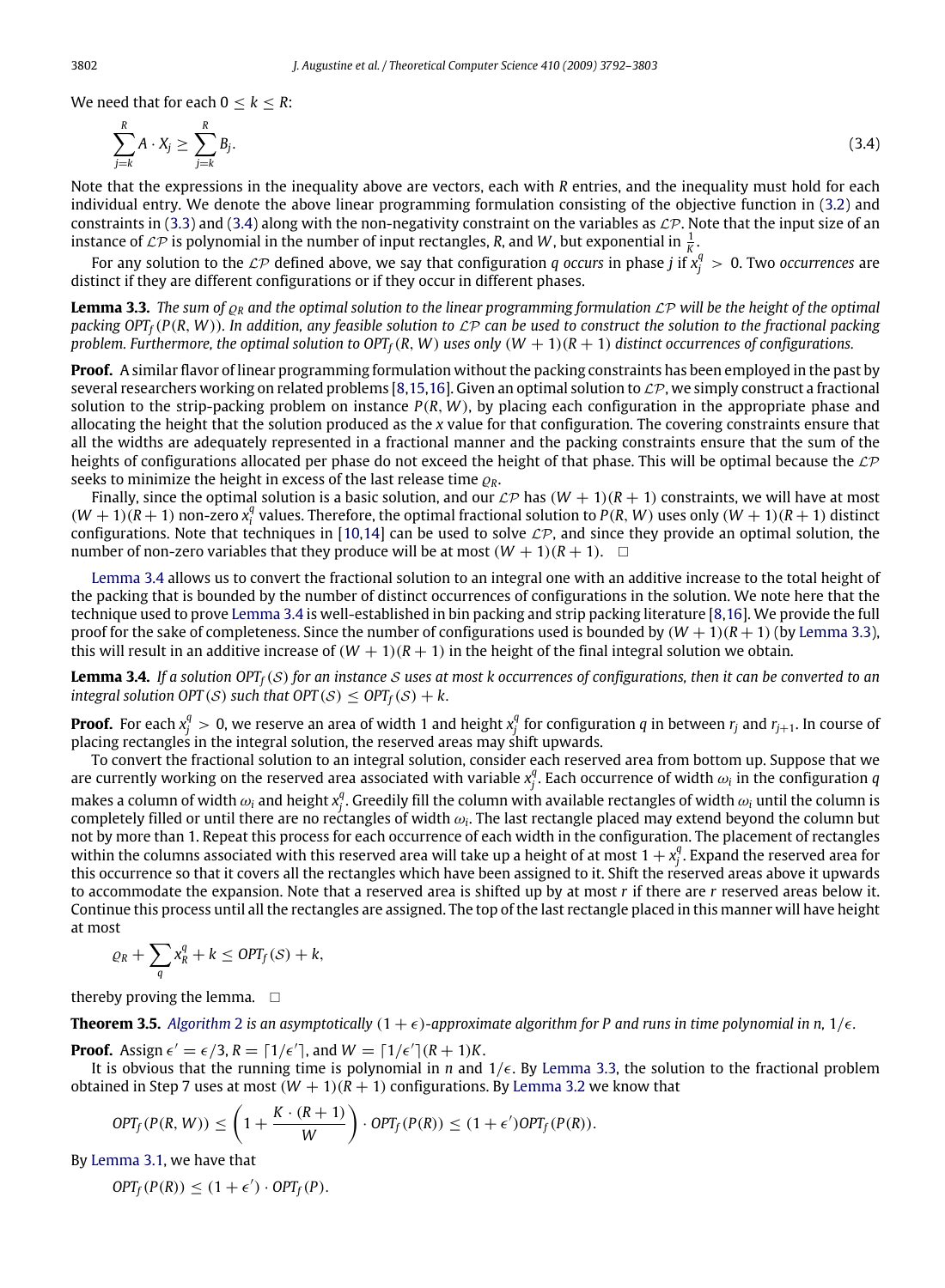We need that for each  $0 \leq k \leq R$ :

<span id="page-10-2"></span>
$$
\sum_{j=k}^{R} A \cdot X_j \ge \sum_{j=k}^{R} B_j. \tag{3.4}
$$

Note that the expressions in the inequality above are vectors, each with *R* entries, and the inequality must hold for each individual entry. We denote the above linear programming formulation consisting of the objective function in [\(3.2\)](#page-9-0) and constraints in [\(3.3\)](#page-9-1) and [\(3.4\)](#page-10-2) along with the non-negativity constraint on the variables as  $\mathcal{LP}$ . Note that the input size of an instance of  $\mathcal{LP}$  is polynomial in the number of input rectangles, *R*, and *W*, but exponential in  $\frac{1}{K}$ .

For any solution to the  $\mathcal{LP}$  defined above, we say that configuration *q* occurs in phase *j* if  $x_j^q > 0$ . Two occurrences are distinct if they are different configurations or if they occur in different phases.

<span id="page-10-0"></span>**Lemma 3.3.** The sum of  $\rho_R$  and the optimal solution to the linear programming formulation  $\mathcal{LP}$  will be the height of the optimal *packing*  $OPT_f(P(R, W))$ *. In addition, any feasible solution to*  $\mathcal{LP}$  *can be used to construct the solution to the fractional packing problem. Furthermore, the optimal solution to OPT*<sup> $f$ </sup>( $R$ ,  $W$ ) *uses only* ( $W + 1$ )( $R + 1$ ) *distinct occurrences of configurations.* 

**Proof.** A similar flavor of linear programming formulation without the packing constraints has been employed in the past by several researchers working on related problems [\[8,](#page-11-3)[15](#page-11-4)[,16\]](#page-11-11). Given an optimal solution to  $\mathcal{LP}$ , we simply construct a fractional solution to the strip-packing problem on instance  $P(R, W)$ , by placing each configuration in the appropriate phase and allocating the height that the solution produced as the *x* value for that configuration. The covering constraints ensure that all the widths are adequately represented in a fractional manner and the packing constraints ensure that the sum of the heights of configurations allocated per phase do not exceed the height of that phase. This will be optimal because the  $\mathcal{LP}$ seeks to minimize the height in excess of the last release time  $\rho_R$ .

Finally, since the optimal solution is a basic solution, and our  $\mathcal{LP}$  has  $(W + 1)(R + 1)$  constraints, we will have at most  $(W + 1)(R + 1)$  non-zero  $x_i^q$  values. Therefore, the optimal fractional solution to  $P(R, W)$  uses only  $(W + 1)(R + 1)$  distinct configurations. Note that techniques in [\[10](#page-11-23)[,14\]](#page-11-24) can be used to solve  $\mathcal{LP}$ , and since they provide an optimal solution, the number of non-zero variables that they produce will be at most  $(W + 1)(R + 1)$ .

[Lemma 3.4](#page-10-1) allows us to convert the fractional solution to an integral one with an additive increase to the total height of the packing that is bounded by the number of distinct occurrences of configurations in the solution. We note here that the technique used to prove [Lemma 3.4](#page-10-1) is well-established in bin packing and strip packing literature [\[8](#page-11-3)[,16\]](#page-11-11). We provide the full proof for the sake of completeness. Since the number of configurations used is bounded by  $(W + 1)(R + 1)$  (by [Lemma 3.3\)](#page-10-0), this will result in an additive increase of  $(W + 1)(R + 1)$  in the height of the final integral solution we obtain.

<span id="page-10-1"></span>**Lemma 3.4.** *If a solution OPTf*(S) *for an instance* S *uses at most k occurrences of configurations, then it can be converted to an integral solution OPT* (S) *such that OPT* (S)  $\le$  *OPT*<sub>*f*</sub>(S) + *k*.

**Proof.** For each  $x_j^q>0$ , we reserve an area of width 1 and height  $x_j^q$  for configuration  $q$  in between  $r_j$  and  $r_{j+1}$ . In course of placing rectangles in the integral solution, the reserved areas may shift upwards.

To convert the fractional solution to an integral solution, consider each reserved area from bottom up. Suppose that we are currently working on the reserved area associated with variable  $x_j^q$ . Each occurrence of width  $\omega_i$  in the configuration *q* makes a column of width  $\omega_i$  and height  $x_j^q$ . Greedily fill the column with available rectangles of width  $\omega_i$  until the column is completely filled or until there are no rectangles of width  $\omega_i$ . The last rectangle placed may extend beyond the column but not by more than 1. Repeat this process for each occurrence of each width in the configuration. The placement of rectangles within the columns associated with this reserved area will take up a height of at most  $1 + x_j^q$ . Expand the reserved area for this occurrence so that it covers all the rectangles which have been assigned to it. Shift the reserved areas above it upwards to accommodate the expansion. Note that a reserved area is shifted up by at most *r* if there are *r* reserved areas below it. Continue this process until all the rectangles are assigned. The top of the last rectangle placed in this manner will have height at most

$$
\varrho_R + \sum_{q} x_R^q + k \leq \text{OPT}_f(\mathcal{S}) + k,
$$

thereby proving the lemma.  $\square$ 

**Theorem 3.5.** [Algorithm](#page-7-0) [2](#page-7-0) is an asymptotically  $(1 + \epsilon)$ -approximate algorithm for P and runs in time polynomial in n,  $1/\epsilon$ .

**Proof.** Assign  $\epsilon' = \epsilon/3$ ,  $R = \lceil 1/\epsilon' \rceil$ , and  $W = \lceil 1/\epsilon' \rceil (R + 1)K$ .

It is obvious that the running time is polynomial in *n* and  $1/\epsilon$ . By [Lemma 3.3,](#page-10-0) the solution to the fractional problem obtained in Step 7 uses at most  $(W + 1)(R + 1)$  configurations. By [Lemma 3.2](#page-7-2) we know that

$$
OPT_f(P(R, W)) \le \left(1 + \frac{K \cdot (R+1)}{W}\right) \cdot OPT_f(P(R)) \le (1 + \epsilon') OPT_f(P(R)).
$$

By [Lemma 3.1,](#page-7-1) we have that

 $OPT_f(P(R)) \leq (1+\epsilon') \cdot OPT_f(P).$